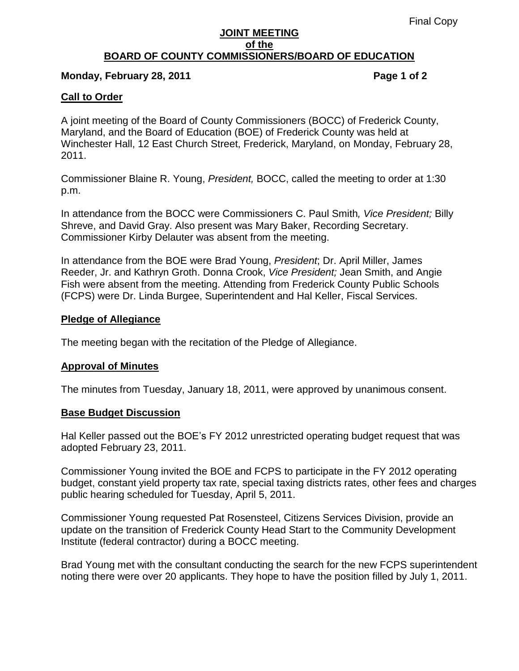### **JOINT MEETING of the BOARD OF COUNTY COMMISSIONERS/BOARD OF EDUCATION**

#### **Monday, February 28, 2011 Page 1 of 2**

## **Call to Order**

A joint meeting of the Board of County Commissioners (BOCC) of Frederick County, Maryland, and the Board of Education (BOE) of Frederick County was held at Winchester Hall, 12 East Church Street, Frederick, Maryland, on Monday, February 28, 2011.

Commissioner Blaine R. Young, *President,* BOCC, called the meeting to order at 1:30 p.m.

In attendance from the BOCC were Commissioners C. Paul Smith*, Vice President;* Billy Shreve, and David Gray. Also present was Mary Baker, Recording Secretary. Commissioner Kirby Delauter was absent from the meeting.

In attendance from the BOE were Brad Young, *President*; Dr. April Miller, James Reeder, Jr. and Kathryn Groth. Donna Crook, *Vice President;* Jean Smith, and Angie Fish were absent from the meeting. Attending from Frederick County Public Schools (FCPS) were Dr. Linda Burgee, Superintendent and Hal Keller, Fiscal Services.

### **Pledge of Allegiance**

The meeting began with the recitation of the Pledge of Allegiance.

### **Approval of Minutes**

The minutes from Tuesday, January 18, 2011, were approved by unanimous consent.

### **Base Budget Discussion**

Hal Keller passed out the BOE's FY 2012 unrestricted operating budget request that was adopted February 23, 2011.

Commissioner Young invited the BOE and FCPS to participate in the FY 2012 operating budget, constant yield property tax rate, special taxing districts rates, other fees and charges public hearing scheduled for Tuesday, April 5, 2011.

Commissioner Young requested Pat Rosensteel, Citizens Services Division, provide an update on the transition of Frederick County Head Start to the Community Development Institute (federal contractor) during a BOCC meeting.

Brad Young met with the consultant conducting the search for the new FCPS superintendent noting there were over 20 applicants. They hope to have the position filled by July 1, 2011.